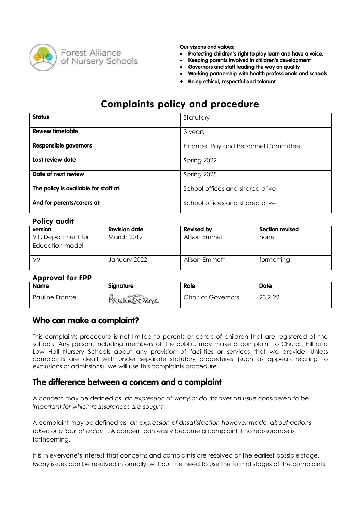

- **Protecting children's right to play learn and have a voice.**
- **Keeping parents involved in children's development**
- **Governors and staff leading the way on quality**
- **Working partnership with health professionals and schools**
- **Being ethical, respectful and tolerant**

# **Complaints policy and procedure**

| <b>Status</b>                         | Statutory                            |
|---------------------------------------|--------------------------------------|
| <b>Review timetable</b>               | 3 years                              |
| <b>Responsible governors</b>          | Finance, Pay and Personnel Committee |
| Last review date                      | Spring 2022                          |
| Date of next review                   | Spring 2025                          |
| The policy is available for staff at: | School offices and shared drive      |
| And for parents/carers at:            | School offices and shared drive      |

#### **Policy audit**

| version            | <b>Revision date</b> | <b>Revised by</b> | <b>Section revised</b> |
|--------------------|----------------------|-------------------|------------------------|
| V1, Department for | <b>March 2019</b>    | Alison Emmett     | none                   |
| Education model    |                      |                   |                        |
| ı V2               | January 2022         | Alison Emmett     | formatting             |

#### **Approval for FPP**

| <b>Name</b>    | <b>Signature</b> | <b>Role</b>               | <b>Date</b>        |
|----------------|------------------|---------------------------|--------------------|
| Pauline France | Paulune ara      | <b>Chair of Governors</b> | റാ റ ററ<br>LJ.L.LL |

#### **Who can make a complaint?**

This complaints procedure is not limited to parents or carers of children that are registered at the schools. Any person, including members of the public, may make a complaint to Church Hill and Low Hall Nursery Schools about any provision of facilities or services that we provide. Unless complaints are dealt with under separate statutory procedures (such as appeals relating to exclusions or admissions), we will use this complaints procedure.

### **The difference between a concern and a complaint**

A concern may be defined as '*an expression of worry or doubt over an issue considered to be important for which reassurances are sought'*.

A complaint may be defined as '*an expression of dissatisfaction however made, about actions taken or a lack of action*'. A concern can easily become a complaint if no reassurance is forthcoming.

It is in everyone's interest that concerns and complaints are resolved at the earliest possible stage. Many issues can be resolved informally, without the need to use the formal stages of the complaints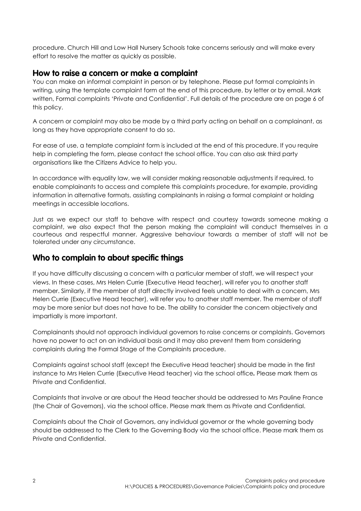procedure. Church Hill and Low Hall Nursery Schools take concerns seriously and will make every effort to resolve the matter as quickly as possible.

### **How to raise a concern or make a complaint**

You can make an informal complaint in person or by telephone. Please put formal complaints in writing, using the template complaint form at the end of this procedure, by letter or by email. Mark written, Formal complaints 'Private and Confidential'. Full details of the procedure are on page 6 of this policy.

A concern or complaint may also be made by a third party acting on behalf on a complainant, as long as they have appropriate consent to do so.

For ease of use, a template complaint form is included at the end of this procedure. If you require help in completing the form, please contact the school office. You can also ask third party organisations like the Citizens Advice to help you.

In accordance with equality law, we will consider making reasonable adjustments if required, to enable complainants to access and complete this complaints procedure, for example, providing information in alternative formats, assisting complainants in raising a formal complaint or holding meetings in accessible locations.

Just as we expect our staff to behave with respect and courtesy towards someone making a complaint, we also expect that the person making the complaint will conduct themselves in a courteous and respectful manner. Aggressive behaviour towards a member of staff will not be tolerated under any circumstance.

# **Who to complain to about specific things**

If you have difficulty discussing a concern with a particular member of staff, we will respect your views. In these cases, Mrs Helen Currie (Executive Head teacher), will refer you to another staff member. Similarly, if the member of staff directly involved feels unable to deal with a concern, Mrs Helen Currie (Executive Head teacher), will refer you to another staff member. The member of staff may be more senior but does not have to be. The ability to consider the concern objectively and impartially is more important.

Complainants should not approach individual governors to raise concerns or complaints. Governors have no power to act on an individual basis and it may also prevent them from considering complaints during the Formal Stage of the Complaints procedure.

Complaints against school staff (except the Executive Head teacher) should be made in the first instance to Mrs Helen Currie (Executive Head teacher) via the school office*.* Please mark them as Private and Confidential.

Complaints that involve or are about the Head teacher should be addressed to Mrs Pauline France (the Chair of Governors), via the school office. Please mark them as Private and Confidential.

Complaints about the Chair of Governors, any individual governor or the whole governing body should be addressed to the Clerk to the Governing Body via the school office. Please mark them as Private and Confidential.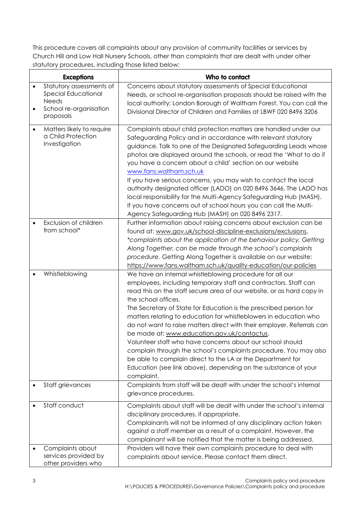This procedure covers all complaints about any provision of community facilities or services by Church Hill and Low Hall Nursery Schools, other than complaints that are dealt with under other statutory procedures, including those listed below:

|                        | <b>Exceptions</b>                                                                                      | Who to contact                                                                                                                                                                                                                                                                                                                                                                                                                                                                                                                                                                                                                                                                                                                                                                |
|------------------------|--------------------------------------------------------------------------------------------------------|-------------------------------------------------------------------------------------------------------------------------------------------------------------------------------------------------------------------------------------------------------------------------------------------------------------------------------------------------------------------------------------------------------------------------------------------------------------------------------------------------------------------------------------------------------------------------------------------------------------------------------------------------------------------------------------------------------------------------------------------------------------------------------|
| $\bullet$<br>$\bullet$ | Statutory assessments of<br>Special Educational<br><b>Needs</b><br>School re-organisation<br>proposals | Concerns about statutory assessments of Special Educational<br>Needs, or school re-organisation proposals should be raised with the<br>local authority: London Borough of Waltham Forest. You can call the<br>Divisional Director of Children and Families at LBWF 020 8496 3206                                                                                                                                                                                                                                                                                                                                                                                                                                                                                              |
| $\bullet$              | Matters likely to require<br>a Child Protection<br>Investigation                                       | Complaints about child protection matters are handled under our<br>Safeguarding Policy and in accordance with relevant statutory<br>guidance. Talk to one of the Designated Safeguarding Leads whose<br>photos are displayed around the schools, or read the 'What to do if<br>you have a concern about a child' section on our website<br>www.fans.waltham.sch.uk<br>If you have serious concerns, you may wish to contact the local<br>authority designated officer (LADO) on 020 8496 3646. The LADO has<br>local responsibility for the Multi-Agency Safeguarding Hub (MASH).<br>If you have concerns out of school hours you can call the Multi-<br>Agency Safeguarding Hub (MASH) on 020 8496 2317.                                                                     |
|                        | Exclusion of children<br>from school*                                                                  | Further information about raising concerns about exclusion can be<br>found at: www.gov.uk/school-discipline-exclusions/exclusions.<br>*complaints about the application of the behaviour policy, Getting<br>Along Together, can be made through the school's complaints<br>procedure. Getting Along Together is available on our website:<br>https://www.fans.waltham.sch.uk/quality-education/our-policies                                                                                                                                                                                                                                                                                                                                                                   |
|                        | Whistleblowing                                                                                         | We have an internal whistleblowing procedure for all our<br>employees, including temporary staff and contractors. Staff can<br>read this on the staff secure area of our website, or as hard copy in<br>the school offices.<br>The Secretary of State for Education is the prescribed person for<br>matters relating to education for whistleblowers in education who<br>do not want to raise matters direct with their employer. Referrals can<br>be made at: www.education.gov.uk/contactus.<br>Volunteer staff who have concerns about our school should<br>complain through the school's complaints procedure. You may also<br>be able to complain direct to the LA or the Department for<br>Education (see link above), depending on the substance of your<br>complaint. |
|                        | Staff grievances                                                                                       | Complaints from staff will be dealt with under the school's internal<br>grievance procedures.                                                                                                                                                                                                                                                                                                                                                                                                                                                                                                                                                                                                                                                                                 |
|                        | Staff conduct                                                                                          | Complaints about staff will be dealt with under the school's internal<br>disciplinary procedures, if appropriate.<br>Complainants will not be informed of any disciplinary action taken<br>against a staff member as a result of a complaint. However, the<br>complainant will be notified that the matter is being addressed.                                                                                                                                                                                                                                                                                                                                                                                                                                                |
|                        | Complaints about<br>services provided by<br>other providers who                                        | Providers will have their own complaints procedure to deal with<br>complaints about service. Please contact them direct.                                                                                                                                                                                                                                                                                                                                                                                                                                                                                                                                                                                                                                                      |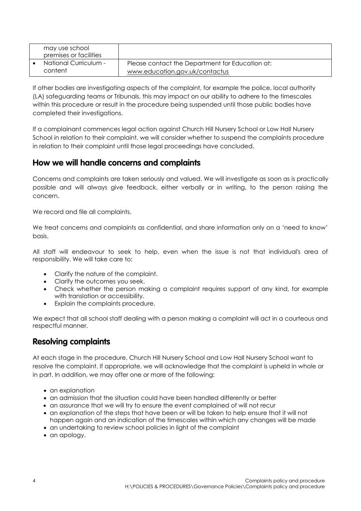| may use school<br>premises or facilities |                                                                                   |
|------------------------------------------|-----------------------------------------------------------------------------------|
| National Curriculum -<br>content         | Please contact the Department for Education at:<br>www.education.gov.uk/contactus |

If other bodies are investigating aspects of the complaint, for example the police, local authority (LA) safeguarding teams or Tribunals, this may impact on our ability to adhere to the timescales within this procedure or result in the procedure being suspended until those public bodies have completed their investigations.

If a complainant commences legal action against Church Hill Nursery School or Low Hall Nursery School in relation to their complaint, we will consider whether to suspend the complaints procedure in relation to their complaint until those legal proceedings have concluded.

### **How we will handle concerns and complaints**

Concerns and complaints are taken seriously and valued. We will investigate as soon as is practically possible and will always give feedback, either verbally or in writing, to the person raising the concern.

We record and file all complaints.

We treat concerns and complaints as confidential, and share information only on a 'need to know' basis.

All staff will endeavour to seek to help, even when the issue is not that individual's area of responsibility. We will take care to:

- Clarify the nature of the complaint.
- Clarify the outcomes you seek.
- Check whether the person making a complaint requires support of any kind, for example with translation or accessibility.
- Explain the complaints procedure.

We expect that all school staff dealing with a person making a complaint will act in a courteous and respectful manner.

### **Resolving complaints**

At each stage in the procedure, Church Hill Nursery School and Low Hall Nursery School want to resolve the complaint. If appropriate, we will acknowledge that the complaint is upheld in whole or in part. In addition, we may offer one or more of the following:

- an explanation
- an admission that the situation could have been handled differently or better
- an assurance that we will try to ensure the event complained of will not recur
- an explanation of the steps that have been or will be taken to help ensure that it will not happen again and an indication of the timescales within which any changes will be made
- an undertaking to review school policies in light of the complaint
- an apology.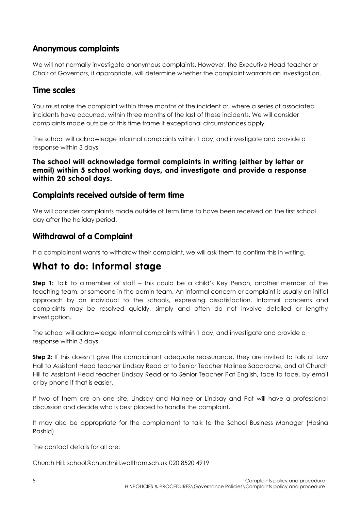# **Anonymous complaints**

We will not normally investigate anonymous complaints. However, the Executive Head teacher or Chair of Governors, if appropriate, will determine whether the complaint warrants an investigation.

### **Time scales**

You must raise the complaint within three months of the incident or, where a series of associated incidents have occurred, within three months of the last of these incidents. We will consider complaints made outside of this time frame if exceptional circumstances apply.

The school will acknowledge informal complaints within 1 day, and investigate and provide a response within 3 days.

#### **The school will acknowledge formal complaints in writing (either by letter or email) within 5 school working days, and investigate and provide a response within 20 school days.**

### **Complaints received outside of term time**

We will consider complaints made outside of term time to have been received on the first school day after the holiday period.

## **Withdrawal of a Complaint**

If a complainant wants to withdraw their complaint, we will ask them to confirm this in writing.

# **What to do: Informal stage**

**Step 1:** Talk to a member of staff – this could be a child's Key Person, another member of the teaching team, or someone in the admin team. An informal concern or complaint is usually an initial approach by an individual to the schools, expressing dissatisfaction. Informal concerns and complaints may be resolved quickly, simply and often do not involve detailed or lengthy investigation.

The school will acknowledge informal complaints within 1 day, and investigate and provide a response within 3 days.

**Step 2:** If this doesn't give the complainant adequate reassurance, they are invited to talk at Low Hall to Assistant Head teacher Lindsay Read or to Senior Teacher Nalinee Sabaroche, and at Church Hill to Assistant Head teacher Lindsay Read or to Senior Teacher Pat English, face to face, by email or by phone if that is easier.

If two of them are on one site, Lindsay and Nalinee or Lindsay and Pat will have a professional discussion and decide who is best placed to handle the complaint.

It may also be appropriate for the complainant to talk to the School Business Manager (Hasina Rashid).

The contact details for all are:

Church Hill: [school@churchhill.waltham.sch.uk](mailto:school@churchhill.waltham.sch.uk) 020 8520 4919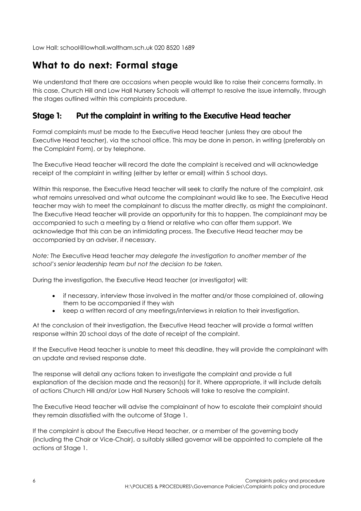Low Hall: [school@lowhall.waltham.sch.uk](mailto:school@lowhall.waltham.sch.uk) 020 8520 1689

# **What to do next: Formal stage**

We understand that there are occasions when people would like to raise their concerns formally. In this case, Church Hill and Low Hall Nursery Schools will attempt to resolve the issue internally, through the stages outlined within this complaints procedure.

# **Stage 1: Put the complaint in writing to the Executive Head teacher**

Formal complaints must be made to the Executive Head teacher (unless they are about the Executive Head teacher), via the school office. This may be done in person, in writing (preferably on the Complaint Form), or by telephone.

The Executive Head teacher will record the date the complaint is received and will acknowledge receipt of the complaint in writing (either by letter or email) within 5 school days.

Within this response, the Executive Head teacher will seek to clarify the nature of the complaint, ask what remains unresolved and what outcome the complainant would like to see. The Executive Head teacher may wish to meet the complainant to discuss the matter directly, as might the complainant. The Executive Head teacher will provide an opportunity for this to happen. The complainant may be accompanied to such a meeting by a friend or relative who can offer them support. We acknowledge that this can be an intimidating process. The Executive Head teacher may be accompanied by an adviser, if necessary.

*Note: The* Executive Head teacher *may delegate the investigation to another member of the school's senior leadership team but not the decision to be taken.*

During the investigation, the Executive Head teacher (or investigator) will:

- if necessary, interview those involved in the matter and/or those complained of, allowing them to be accompanied if they wish
- keep a written record of any meetings/interviews in relation to their investigation.

At the conclusion of their investigation, the Executive Head teacher will provide a formal written response within 20 school days of the date of receipt of the complaint.

If the Executive Head teacher is unable to meet this deadline, they will provide the complainant with an update and revised response date.

The response will detail any actions taken to investigate the complaint and provide a full explanation of the decision made and the reason(s) for it. Where appropriate, it will include details of actions Church Hill and/or Low Hall Nursery Schools will take to resolve the complaint.

The Executive Head teacher will advise the complainant of how to escalate their complaint should they remain dissatisfied with the outcome of Stage 1.

If the complaint is about the Executive Head teacher, or a member of the governing body (including the Chair or Vice-Chair), a suitably skilled governor will be appointed to complete all the actions at Stage 1.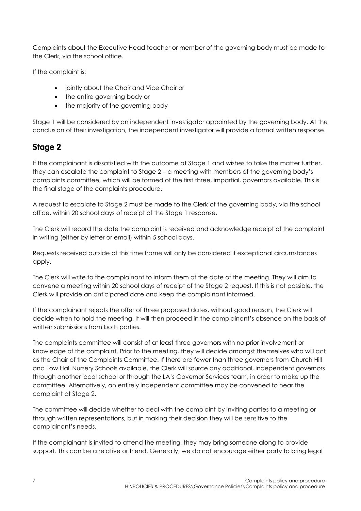Complaints about the Executive Head teacher or member of the governing body must be made to the Clerk, via the school office.

If the complaint is:

- jointly about the Chair and Vice Chair or
- the entire governing body or
- the majority of the governing body

Stage 1 will be considered by an independent investigator appointed by the governing body. At the conclusion of their investigation, the independent investigator will provide a formal written response.

# **Stage 2**

If the complainant is dissatisfied with the outcome at Stage 1 and wishes to take the matter further, they can escalate the complaint to Stage 2 – a meeting with members of the governing body's complaints committee, which will be formed of the first three, impartial, governors available. This is the final stage of the complaints procedure.

A request to escalate to Stage 2 must be made to the Clerk of the governing body, via the school office, within 20 school days of receipt of the Stage 1 response.

The Clerk will record the date the complaint is received and acknowledge receipt of the complaint in writing (either by letter or email) within 5 school days.

Requests received outside of this time frame will only be considered if exceptional circumstances apply.

The Clerk will write to the complainant to inform them of the date of the meeting. They will aim to convene a meeting within 20 school days of receipt of the Stage 2 request. If this is not possible, the Clerk will provide an anticipated date and keep the complainant informed.

If the complainant rejects the offer of three proposed dates, without good reason, the Clerk will decide when to hold the meeting. It will then proceed in the complainant's absence on the basis of written submissions from both parties.

The complaints committee will consist of at least three governors with no prior involvement or knowledge of the complaint. Prior to the meeting, they will decide amongst themselves who will act as the Chair of the Complaints Committee. If there are fewer than three governors from Church Hill and Low Hall Nursery Schools available, the Clerk will source any additional, independent governors through another local school or through the LA's Governor Services team, in order to make up the committee. Alternatively, an entirely independent committee may be convened to hear the complaint at Stage 2.

The committee will decide whether to deal with the complaint by inviting parties to a meeting or through written representations, but in making their decision they will be sensitive to the complainant's needs.

If the complainant is invited to attend the meeting, they may bring someone along to provide support. This can be a relative or friend. Generally, we do not encourage either party to bring legal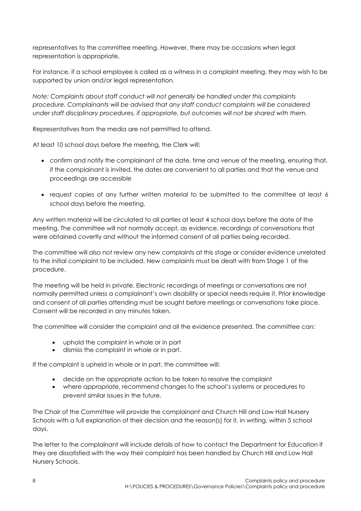representatives to the committee meeting. However, there may be occasions when legal representation is appropriate.

For instance, if a school employee is called as a witness in a complaint meeting, they may wish to be supported by union and/or legal representation.

*Note: Complaints about staff conduct will not generally be handled under this complaints procedure. Complainants will be advised that any staff conduct complaints will be considered under staff disciplinary procedures, if appropriate, but outcomes will not be shared with them.* 

Representatives from the media are not permitted to attend.

At least 10 school days before the meeting, the Clerk will:

- confirm and notify the complainant of the date, time and venue of the meeting, ensuring that, if the complainant is invited, the dates are convenient to all parties and that the venue and proceedings are accessible
- request copies of any further written material to be submitted to the committee at least 6 school days before the meeting.

Any written material will be circulated to all parties at least 4 school days before the date of the meeting. The committee will not normally accept, as evidence, recordings of conversations that were obtained covertly and without the informed consent of all parties being recorded.

The committee will also not review any new complaints at this stage or consider evidence unrelated to the initial complaint to be included. New complaints must be dealt with from Stage 1 of the procedure.

The meeting will be held in private. Electronic recordings of meetings or conversations are not normally permitted unless a complainant's own disability or special needs require it. Prior knowledge and consent of all parties attending must be sought before meetings or conversations take place. Consent will be recorded in any minutes taken.

The committee will consider the complaint and all the evidence presented. The committee can:

- uphold the complaint in whole or in part
- dismiss the complaint in whole or in part.

If the complaint is upheld in whole or in part, the committee will:

- decide on the appropriate action to be taken to resolve the complaint
- where appropriate, recommend changes to the school's systems or procedures to prevent similar issues in the future.

The Chair of the Committee will provide the complainant and Church Hill and Low Hall Nursery Schools with a full explanation of their decision and the reason(s) for it, in writing, within 5 school days.

The letter to the complainant will include details of how to contact the Department for Education if they are dissatisfied with the way their complaint has been handled by Church Hill and Low Hall Nursery Schools.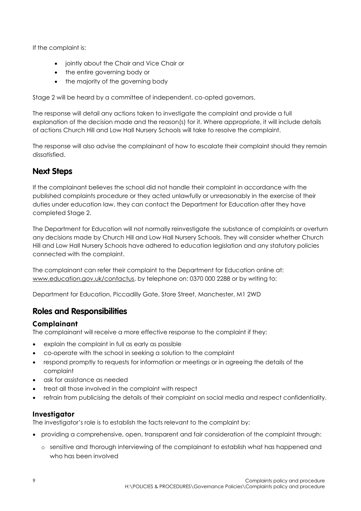If the complaint is:

- jointly about the Chair and Vice Chair or
- the entire governing body or
- the majority of the governing body

Stage 2 will be heard by a committee of independent, co-opted governors.

The response will detail any actions taken to investigate the complaint and provide a full explanation of the decision made and the reason(s) for it. Where appropriate, it will include details of actions Church Hill and Low Hall Nursery Schools will take to resolve the complaint.

The response will also advise the complainant of how to escalate their complaint should they remain dissatisfied.

# **Next Steps**

If the complainant believes the school did not handle their complaint in accordance with the published complaints procedure or they acted unlawfully or unreasonably in the exercise of their duties under education law, they can contact the Department for Education after they have completed Stage 2.

The Department for Education will not normally reinvestigate the substance of complaints or overturn any decisions made by Church Hill and Low Hall Nursery Schools. They will consider whether Church Hill and Low Hall Nursery Schools have adhered to education legislation and any statutory policies connected with the complaint.

The complainant can refer their complaint to the Department for Education online at: [www.education.gov.uk/contactus,](http://www.education.gov.uk/contactus) by telephone on: 0370 000 2288 or by writing to:

Department for Education, Piccadilly Gate, Store Street, Manchester, M1 2WD

# **Roles and Responsibilities**

### **Complainant**

The complainant will receive a more effective response to the complaint if they:

- explain the complaint in full as early as possible
- co-operate with the school in seeking a solution to the complaint
- respond promptly to requests for information or meetings or in agreeing the details of the complaint
- ask for assistance as needed
- treat all those involved in the complaint with respect
- refrain from publicising the details of their complaint on social media and respect confidentiality.

### **Investigator**

The investigator's role is to establish the facts relevant to the complaint by:

- providing a comprehensive, open, transparent and fair consideration of the complaint through:
	- o sensitive and thorough interviewing of the complainant to establish what has happened and who has been involved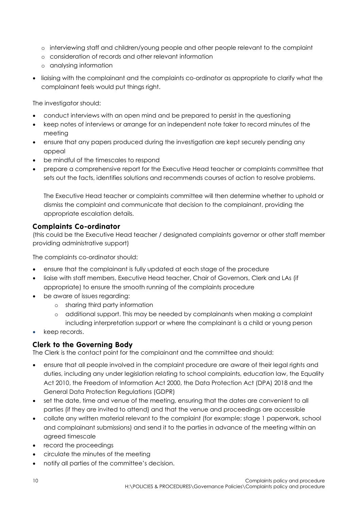- o interviewing staff and children/young people and other people relevant to the complaint
- o consideration of records and other relevant information
- o analysing information
- liaising with the complainant and the complaints co-ordinator as appropriate to clarify what the complainant feels would put things right.

The investigator should:

- conduct interviews with an open mind and be prepared to persist in the questioning
- keep notes of interviews or arrange for an independent note taker to record minutes of the meeting
- ensure that any papers produced during the investigation are kept securely pending any appeal
- be mindful of the timescales to respond
- prepare a comprehensive report for the Executive Head teacher or complaints committee that sets out the facts, identifies solutions and recommends courses of action to resolve problems.

The Executive Head teacher or complaints committee will then determine whether to uphold or dismiss the complaint and communicate that decision to the complainant, providing the appropriate escalation details.

#### **Complaints Co-ordinator**

(this could be the Executive Head teacher / designated complaints governor or other staff member providing administrative support)

The complaints co-ordinator should:

- ensure that the complainant is fully updated at each stage of the procedure
- liaise with staff members, Executive Head teacher, Chair of Governors, Clerk and LAs (if appropriate) to ensure the smooth running of the complaints procedure
- be aware of issues reaarding:
	- o sharing third party information
	- o additional support. This may be needed by complainants when making a complaint including interpretation support or where the complainant is a child or young person
- keep records.

### **Clerk to the Governing Body**

The Clerk is the contact point for the complainant and the committee and should:

- ensure that all people involved in the complaint procedure are aware of their legal rights and duties, including any under legislation relating to school complaints, education law, the Equality Act 2010, the Freedom of Information Act 2000, the Data Protection Act (DPA) 2018 and the General Data Protection Regulations (GDPR)
- set the date, time and venue of the meeting, ensuring that the dates are convenient to all parties (if they are invited to attend) and that the venue and proceedings are accessible
- collate any written material relevant to the complaint (for example; stage 1 paperwork, school and complainant submissions) and send it to the parties in advance of the meeting within an agreed timescale
- record the proceedings
- circulate the minutes of the meeting
- notify all parties of the committee's decision.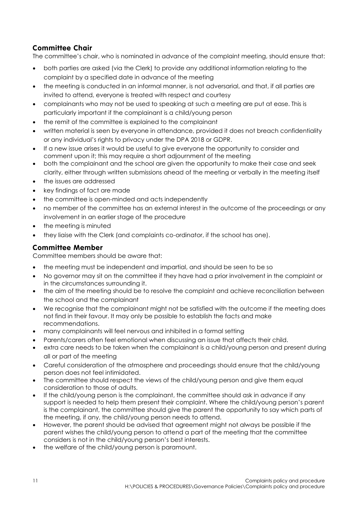## **Committee Chair**

The committee's chair, who is nominated in advance of the complaint meeting, should ensure that:

- both parties are asked (via the Clerk) to provide any additional information relating to the complaint by a specified date in advance of the meeting
- the meeting is conducted in an informal manner, is not adversarial, and that, if all parties are invited to attend, everyone is treated with respect and courtesy
- complainants who may not be used to speaking at such a meeting are put at ease. This is particularly important if the complainant is a child/young person
- the remit of the committee is explained to the complainant
- written material is seen by everyone in attendance, provided it does not breach confidentiality or any individual's rights to privacy under the DPA 2018 or GDPR.
- If a new issue arises it would be useful to give everyone the opportunity to consider and comment upon it; this may require a short adjournment of the meeting
- both the complainant and the school are given the opportunity to make their case and seek clarity, either through written submissions ahead of the meeting or verbally in the meeting itself
- the issues are addressed
- key findings of fact are made
- the committee is open-minded and acts independently
- no member of the committee has an external interest in the outcome of the proceedings or any involvement in an earlier stage of the procedure
- the meeting is minuted
- they liaise with the Clerk (and complaints co-ordinator, if the school has one).

#### **Committee Member**

Committee members should be aware that:

- the meeting must be independent and impartial, and should be seen to be so
- No governor may sit on the committee if they have had a prior involvement in the complaint or in the circumstances surrounding it.
- the aim of the meeting should be to resolve the complaint and achieve reconciliation between the school and the complainant
- We recognise that the complainant might not be satisfied with the outcome if the meeting does not find in their favour. It may only be possible to establish the facts and make recommendations.
- many complainants will feel nervous and inhibited in a formal setting
- Parents/carers often feel emotional when discussing an issue that affects their child.
- extra care needs to be taken when the complainant is a child/young person and present during all or part of the meeting
- Careful consideration of the atmosphere and proceedings should ensure that the child/young person does not feel intimidated.
- The committee should respect the views of the child/young person and give them equal consideration to those of adults.
- If the child/young person is the complainant, the committee should ask in advance if any support is needed to help them present their complaint. Where the child/young person's parent is the complainant, the committee should give the parent the opportunity to say which parts of the meeting, if any, the child/young person needs to attend.
- However, the parent should be advised that agreement might not always be possible if the parent wishes the child/young person to attend a part of the meeting that the committee considers is not in the child/young person's best interests.
- the welfare of the child/young person is paramount.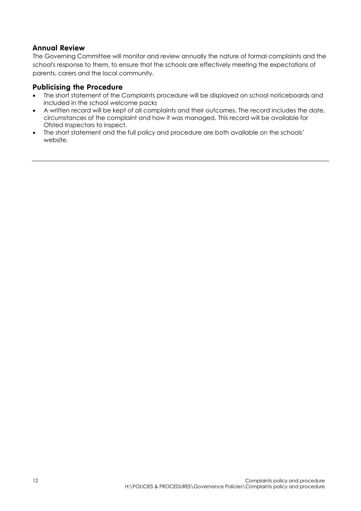#### **Annual Review**

The Governing Committee will monitor and review annually the nature of formal complaints and the school's response to them, to ensure that the schools are effectively meeting the expectations of parents, carers and the local community.

#### **Publicising the Procedure**

- The short statement of the Complaints procedure will be displayed on school noticeboards and included in the school welcome packs
- A written record will be kept of all complaints and their outcomes. The record includes the date, circumstances of the complaint and how it was managed. This record will be available for Ofsted Inspectors to inspect.
- The short statement and the full policy and procedure are both available on the schools' website.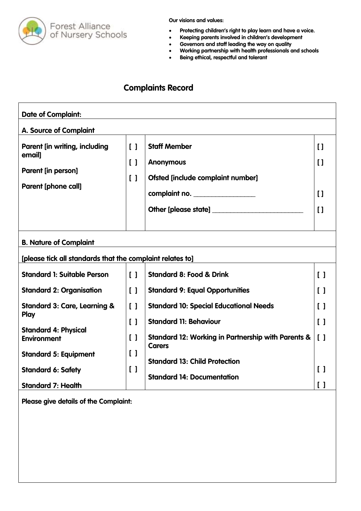

- **Protecting children's right to play learn and have a voice.**
- **Keeping parents involved in children's development**
- **Governors and staff leading the way on quality**
- **Working partnership with health professionals and schools**
- **Being ethical, respectful and tolerant**

# **Complaints Record**

| $\begin{bmatrix} 1 \end{bmatrix}$<br>$\begin{smallmatrix}1\end{smallmatrix}$<br>$\begin{bmatrix} 1 \end{bmatrix}$ | <b>Staff Member</b><br><b>Anonymous</b><br>Ofsted [include complaint number]<br>complaint no.<br>Other [please state] | $\mathbf{I}$<br>$\mathbf{I}$<br>$\mathbf{I}$<br>$\mathbf{I}$ |
|-------------------------------------------------------------------------------------------------------------------|-----------------------------------------------------------------------------------------------------------------------|--------------------------------------------------------------|
|                                                                                                                   |                                                                                                                       |                                                              |
| $\begin{bmatrix} 1 \end{bmatrix}$                                                                                 | <b>Standard 8: Food &amp; Drink</b>                                                                                   | $\begin{bmatrix} 1 \end{bmatrix}$                            |
| $\begin{bmatrix} 1 \end{bmatrix}$                                                                                 | <b>Standard 9: Equal Opportunities</b>                                                                                | $\lceil$ $\rceil$                                            |
| $\begin{smallmatrix}1\end{smallmatrix}$<br>$\begin{smallmatrix}1\end{smallmatrix}$                                | <b>Standard 10: Special Educational Needs</b><br><b>Standard 11: Behaviour</b>                                        | $\begin{smallmatrix}1\end{smallmatrix}$<br>$\lceil$ $\rceil$ |
| $\lceil$ $\rceil$                                                                                                 | <b>Standard 12: Working in Partnership with Parents &amp;</b><br><b>Carers</b>                                        | $\begin{bmatrix} 1 \end{bmatrix}$                            |
| $\begin{smallmatrix}1\end{smallmatrix}$<br>$\begin{bmatrix} 1 \end{bmatrix}$                                      | <b>Standard 13: Child Protection</b><br><b>Standard 14: Documentation</b>                                             | $\left[ \quad \right]$<br>$\lceil$ $\rceil$                  |
|                                                                                                                   |                                                                                                                       | [please tick all standards that the complaint relates to]    |

**Please give details of the Complaint:**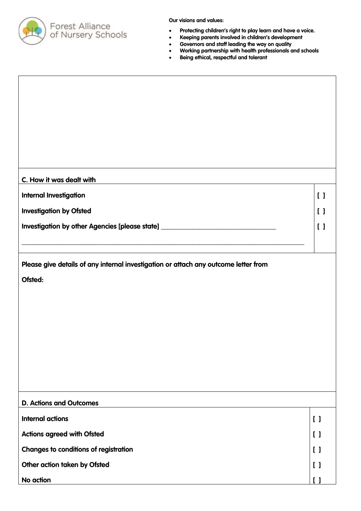

- **Protecting children's right to play learn and have a voice.**
- **Keeping parents involved in children's development**
- **Governors and staff leading the way on quality**
- **Working partnership with health professionals and schools**
- **Being ethical, respectful and tolerant**

| C. How it was dealt with                                                            |                                 |                                         |
|-------------------------------------------------------------------------------------|---------------------------------|-----------------------------------------|
| <b>Internal Investigation</b>                                                       |                                 | $\left[ \ \right]$                      |
| <b>Investigation by Ofsted</b>                                                      |                                 | $\begin{smallmatrix}1\end{smallmatrix}$ |
| Investigation by other Agencies [please state] _________________________________    |                                 | $\begin{bmatrix} 1 \end{bmatrix}$       |
|                                                                                     |                                 |                                         |
| Please give details of any internal investigation or attach any outcome letter from |                                 |                                         |
| Ofsted:                                                                             |                                 |                                         |
|                                                                                     |                                 |                                         |
|                                                                                     |                                 |                                         |
|                                                                                     |                                 |                                         |
|                                                                                     |                                 |                                         |
|                                                                                     |                                 |                                         |
|                                                                                     |                                 |                                         |
| <b>D. Actions and Outcomes</b>                                                      |                                 |                                         |
| <b>Internal actions</b>                                                             | $\begin{bmatrix} \end{bmatrix}$ |                                         |
| <b>Actions agreed with Ofsted</b>                                                   | $\begin{bmatrix} \end{bmatrix}$ |                                         |
| <b>Changes to conditions of registration</b>                                        | $\begin{bmatrix} \end{bmatrix}$ |                                         |
| Other action taken by Ofsted                                                        | $\begin{bmatrix} \end{bmatrix}$ |                                         |
| No action                                                                           | $\mathsf{I}$                    |                                         |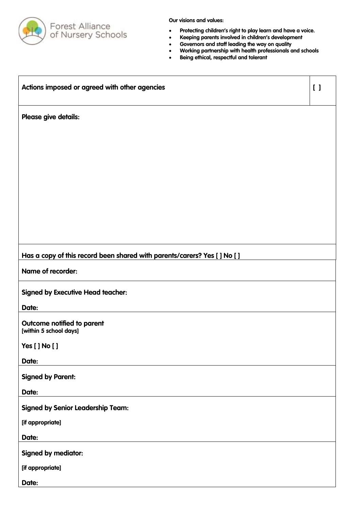

- **Protecting children's right to play learn and have a voice.**
- **Keeping parents involved in children's development**
- **Governors and staff leading the way on quality**
- **Working partnership with health professionals and schools**
- **Being ethical, respectful and tolerant**

| Actions imposed or agreed with other agencies                             | $\lceil$ |
|---------------------------------------------------------------------------|----------|
| Please give details:                                                      |          |
|                                                                           |          |
|                                                                           |          |
|                                                                           |          |
|                                                                           |          |
|                                                                           |          |
|                                                                           |          |
| Has a copy of this record been shared with parents/carers? Yes [ ] No [ ] |          |
| Name of recorder:                                                         |          |
| <b>Signed by Executive Head teacher:</b>                                  |          |
| Date:                                                                     |          |
| Outcome notified to parent<br>[within 5 school days]                      |          |
| Yes [] No []                                                              |          |
| Date:                                                                     |          |
| <b>Signed by Parent:</b>                                                  |          |
| Date:                                                                     |          |
| <b>Signed by Senior Leadership Team:</b>                                  |          |
| [if appropriate]                                                          |          |
| Date:                                                                     |          |
| <b>Signed by mediator:</b>                                                |          |
| [if appropriate]                                                          |          |
| Date:                                                                     |          |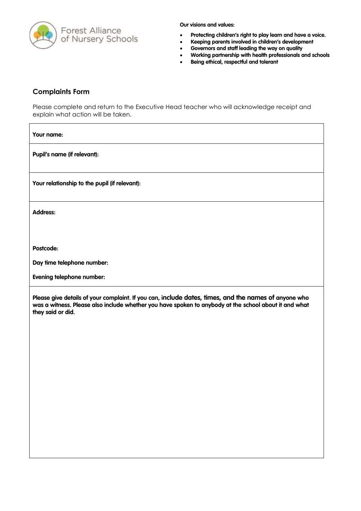

- **Protecting children's right to play learn and have a voice.**
- **Keeping parents involved in children's development**
- **Governors and staff leading the way on quality**
- **Working partnership with health professionals and schools**
- **Being ethical, respectful and tolerant**

#### **Complaints Form**

Please complete and return to the Executive Head teacher who will acknowledge receipt and explain what action will be taken.

**Your name:**

**Pupil's name (if relevant):**

**Your relationship to the pupil (if relevant):**

**Address:** 

**Postcode:**

**Day time telephone number:**

**Evening telephone number:**

**Please give details of your complaint. If you can, include dates, times, and the names of anyone who was a witness. Please also include whether you have spoken to anybody at the school about it and what they said or did.**